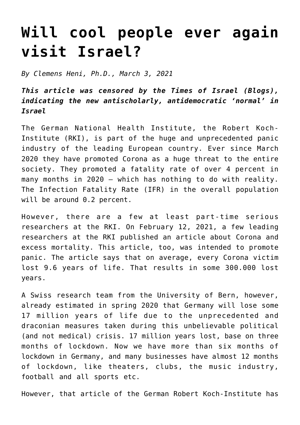## **[Will cool people ever again](https://www.clemensheni.net/will-cool-people-ever-again-visit-israel/) [visit Israel?](https://www.clemensheni.net/will-cool-people-ever-again-visit-israel/)**

*By Clemens Heni, Ph.D., March 3, 2021*

*This article was censored by the Times of Israel (Blogs), indicating the new antischolarly, antidemocratic 'normal' in Israel*

The German National Health Institute, the Robert Koch-Institute (RKI), is part of the huge and unprecedented panic industry of the leading European country. Ever since March 2020 they have promoted Corona as a huge threat to the entire society. They promoted a fatality rate of over 4 percent in many months in 2020 – which has nothing to do with reality. The Infection Fatality Rate (IFR) in the overall population will be around 0.2 percent.

However, there are a few at least part-time serious researchers at the RKI. [On February 12, 2021, a few leading](https://www.aerzteblatt.de/archiv/217880/COVID-19-Krankheitslast-in-Deutschland-im-Jahr-2020) [researchers at the RKI published an article about Corona and](https://www.aerzteblatt.de/archiv/217880/COVID-19-Krankheitslast-in-Deutschland-im-Jahr-2020) [excess mortality.](https://www.aerzteblatt.de/archiv/217880/COVID-19-Krankheitslast-in-Deutschland-im-Jahr-2020) This article, too, was intended to promote panic. The article says that on average, every Corona victim lost 9.6 years of life. That results in some 300.000 lost years.

A Swiss research team from the University of Bern, however, already estimated in spring 2020 [that Germany will lose some](https://www.researchgate.net/publication/340844921_Years_of_life_lost_due_to_the_psychosocial_consequences_of_COVID19_mitigation_strategies_based_on_Swiss_data) [17 million years of life due to the unprecedented and](https://www.researchgate.net/publication/340844921_Years_of_life_lost_due_to_the_psychosocial_consequences_of_COVID19_mitigation_strategies_based_on_Swiss_data) [draconian measures](https://www.researchgate.net/publication/340844921_Years_of_life_lost_due_to_the_psychosocial_consequences_of_COVID19_mitigation_strategies_based_on_Swiss_data) taken during this unbelievable political (and not medical) crisis. 17 million years lost, base on three months of lockdown. Now we have more than six months of lockdown in Germany, and many businesses have almost 12 months of lockdown, like theaters, clubs, the music industry, football and all sports etc.

However, that article of the German Robert Koch-Institute has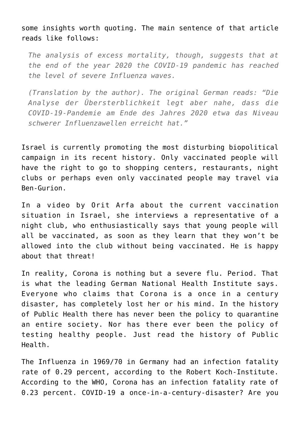some insights worth quoting. [The main sentence of that article](https://www.aerzteblatt.de/archiv/217880/COVID-19-Krankheitslast-in-Deutschland-im-Jahr-2020) [reads like follows:](https://www.aerzteblatt.de/archiv/217880/COVID-19-Krankheitslast-in-Deutschland-im-Jahr-2020)

*The analysis of excess mortality, though, suggests that at the end of the year 2020 the COVID-19 pandemic has reached the level of severe Influenza waves.*

*(Translation by the author). The original German reads: "Die Analyse der Übersterblichkeit legt aber nahe, dass die COVID-19-Pandemie am Ende des Jahres 2020 etwa das Niveau schwerer Influenzawellen erreicht hat."*

Israel is currently promoting the most disturbing biopolitical campaign in its recent history. Only vaccinated people will have the right to go to shopping centers, restaurants, night clubs or perhaps even only vaccinated people may travel via Ben-Gurion.

In a video by [Orit Arfa](https://www.achgut.com/artikel/israel_die_impf_pragmatiker) about the current vaccination situation in Israel, she interviews a representative of a night club, who enthusiastically says that young people will all be vaccinated, as soon as they learn that they won't be allowed into the club without being vaccinated. He is happy about that threat!

In reality, Corona is nothing but a severe flu. Period. That is what the leading German National Health Institute says. Everyone who claims that Corona is a once in a century disaster, has completely lost her or his mind. In the history of Public Health there has never been the policy to quarantine an entire society. Nor has there ever been the policy of testing healthy people. Just read the history of Public Health.

The Influenza in 1969/70 in Germany had an infection fatality rate of 0.29 percent, according to the Robert Koch-Institute. According to the WHO, Corona has an infection fatality rate of 0.23 percent. COVID-19 a once-in-a-century-disaster? Are you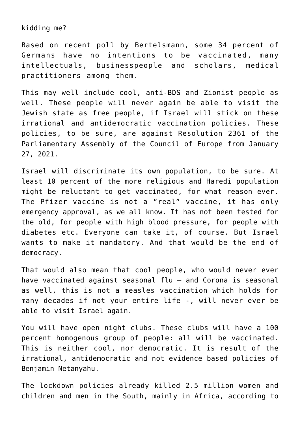kidding me?

Based on recent poll by Bertelsmann, [some 34 percent of](https://www.bertelsmann-stiftung.de/de/themen/aktuelle-meldungen/2021/februar/die-freiheit-und-das-gemeinwohl-wie-corona-deutschland-spaltet-und-auch-eint) [Germans have no intentions to be vaccinated](https://www.bertelsmann-stiftung.de/de/themen/aktuelle-meldungen/2021/februar/die-freiheit-und-das-gemeinwohl-wie-corona-deutschland-spaltet-und-auch-eint), many intellectuals, businesspeople and scholars, medical practitioners among them.

This may well include cool, anti-BDS and Zionist people as well. These people will never again be able to visit the Jewish state as free people, if Israel will stick on these irrational and antidemocratic vaccination policies. These policies, to be sure, are against [Resolution 2361 of the](https://pace.coe.int/en/files/29004/html) [Parliamentary Assembly of the Council of Europe from January](https://pace.coe.int/en/files/29004/html) [27, 2021.](https://pace.coe.int/en/files/29004/html)

Israel will discriminate its own population, to be sure. At least 10 percent of the more religious and Haredi population might be reluctant to get vaccinated, for what reason ever. The Pfizer vaccine is not a "real" vaccine, it has only emergency approval, as we all know. It has not been tested for the old, for people with high blood pressure, for people with diabetes etc. Everyone can take it, of course. But Israel wants to make it mandatory. And that would be the end of democracy.

That would also mean that cool people, who would never ever have vaccinated against seasonal flu – and Corona is seasonal as well, this is not a measles vaccination which holds for many decades if not your entire life -, will never ever be able to visit Israel again.

You will have open night clubs. These clubs will have a 100 percent homogenous group of people: all will be vaccinated. This is neither cool, nor democratic. It is result of the irrational, antidemocratic and not evidence based policies of Benjamin Netanyahu.

[The lockdown policies already killed 2.5 million women and](https://sebastianrushworth.com/2021/03/01/lockdowns-have-killed-millions/) [children and men in the South, mainly in Africa, according to](https://sebastianrushworth.com/2021/03/01/lockdowns-have-killed-millions/)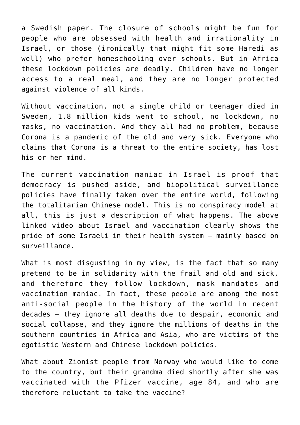[a Swedish paper](https://sebastianrushworth.com/2021/03/01/lockdowns-have-killed-millions/). The closure of schools might be fun for people who are obsessed with health and irrationality in Israel, or those (ironically that might fit some Haredi as well) who prefer homeschooling over schools. But in Africa these lockdown policies are deadly. Children have no longer access to a real meal, and they are no longer protected against violence of all kinds.

Without vaccination, not a single child or teenager died in Sweden, 1.8 million kids went to school, no lockdown, no masks, no vaccination. And they all had no problem, because Corona is a pandemic of the old and very sick. Everyone who claims that Corona is a threat to the entire society, has lost his or her mind.

The current vaccination maniac in Israel is proof that democracy is pushed aside, and biopolitical surveillance policies have finally taken over the entire world, following the totalitarian Chinese model. This is no conspiracy model at all, this is just a description of what happens. The above linked video about Israel and vaccination clearly shows the pride of some Israeli in their health system – mainly based on surveillance.

What is most disqusting in my view, is the fact that so many pretend to be in solidarity with the frail and old and sick, and therefore they follow lockdown, mask mandates and vaccination maniac. In fact, these people are among the most anti-social people in the history of the world in recent decades – they ignore all deaths due to despair, economic and social collapse, and they ignore the millions of deaths in the southern countries in Africa and Asia, who are victims of the egotistic Western and Chinese lockdown policies.

What about Zionist people from Norway who would like to come to the country, but their grandma died shortly after she was vaccinated with the Pfizer vaccine, age 84, and who are therefore reluctant to take the vaccine?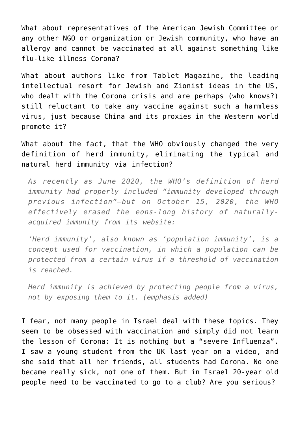What about representatives of the American Jewish Committee or any other NGO or organization or Jewish community, who have an allergy and cannot be vaccinated at all against something like flu-like illness Corona?

What about authors like from [Tablet Magazine,](https://www.tabletmag.com/sections/news/articles/china-covid-lockdown-propaganda) the leading intellectual resort for Jewish and Zionist ideas in the US, who dealt with the Corona crisis and are perhaps (who knows?) still reluctant to take any vaccine against such a harmless virus, just because China and its proxies in the Western world promote it?

[What about the fact, that the WHO obviously changed the very](https://ccpgloballockdownfraud.medium.com/the-chinese-communist-partys-global-lockdown-fraud-88e1a7286c2b) [definition of herd immunity, eliminating the typical and](https://ccpgloballockdownfraud.medium.com/the-chinese-communist-partys-global-lockdown-fraud-88e1a7286c2b) [natural herd immunity via infection?](https://ccpgloballockdownfraud.medium.com/the-chinese-communist-partys-global-lockdown-fraud-88e1a7286c2b)

*As recently as June 2020, the WHO's definition of herd immunity had properly included "immunity developed through previous infection"—but on October 15, 2020, the WHO effectively erased the eons-long history of naturallyacquired immunity from its website:*

*'Herd immunity', also known as 'population immunity', is a concept used for vaccination, in which a population can be protected from a certain virus if a threshold of vaccination is reached.*

*Herd immunity is achieved by protecting people from a virus, not by exposing them to it. (emphasis added)*

I fear, not many people in Israel deal with these topics. They seem to be obsessed with vaccination and simply did not learn the lesson of Corona: It is nothing but a "severe Influenza". I saw a young student from the UK last year on a video, and she said that all her friends, all students had Corona. No one became really sick, not one of them. But in Israel 20-year old people need to be vaccinated to go to a club? Are you serious?